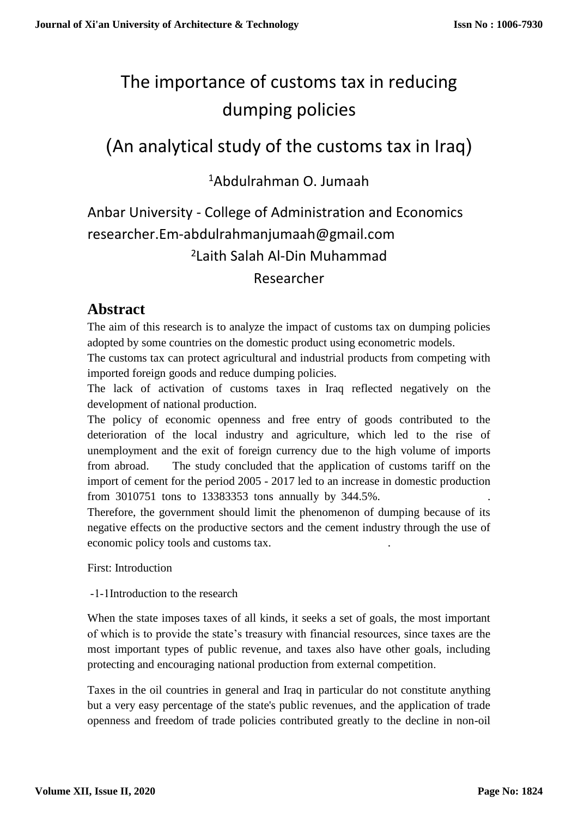# The importance of customs tax in reducing dumping policies

## (An analytical study of the customs tax in Iraq)

## <sup>1</sup>Abdulrahman O. Jumaah

## Anbar University - College of Administration and Economics researcher.Em-abdulrahmanjumaah@gmail.com <sup>2</sup> Laith Salah Al-Din Muhammad

### Researcher

### **Abstract**

The aim of this research is to analyze the impact of customs tax on dumping policies adopted by some countries on the domestic product using econometric models.

The customs tax can protect agricultural and industrial products from competing with imported foreign goods and reduce dumping policies.

The lack of activation of customs taxes in Iraq reflected negatively on the development of national production.

The policy of economic openness and free entry of goods contributed to the deterioration of the local industry and agriculture, which led to the rise of unemployment and the exit of foreign currency due to the high volume of imports from abroad. The study concluded that the application of customs tariff on the import of cement for the period 2005 - 2017 led to an increase in domestic production from 3010751 tons to 13383353 tons annually by 344.5%. .

Therefore, the government should limit the phenomenon of dumping because of its negative effects on the productive sectors and the cement industry through the use of economic policy tools and customs tax. .

First: Introduction

-1-1Introduction to the research

When the state imposes taxes of all kinds, it seeks a set of goals, the most important of which is to provide the state's treasury with financial resources, since taxes are the most important types of public revenue, and taxes also have other goals, including protecting and encouraging national production from external competition.

Taxes in the oil countries in general and Iraq in particular do not constitute anything but a very easy percentage of the state's public revenues, and the application of trade openness and freedom of trade policies contributed greatly to the decline in non-oil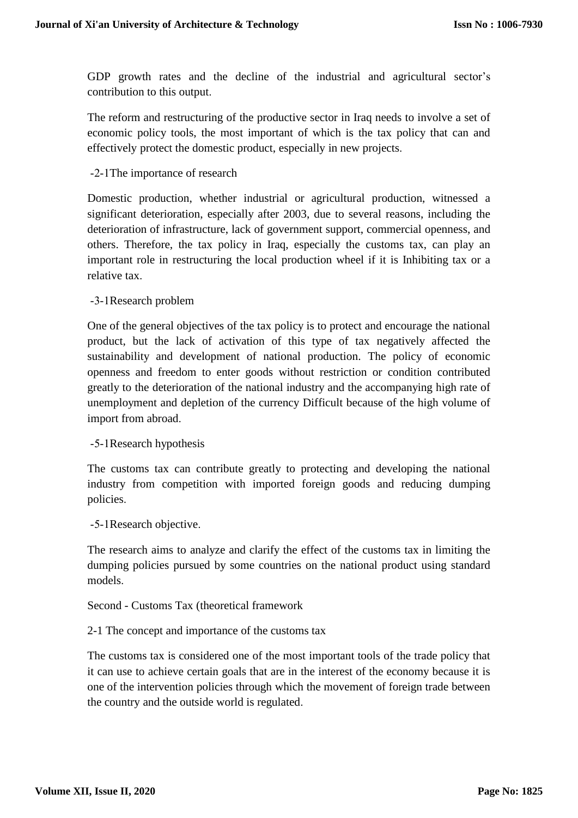GDP growth rates and the decline of the industrial and agricultural sector's contribution to this output.

The reform and restructuring of the productive sector in Iraq needs to involve a set of economic policy tools, the most important of which is the tax policy that can and effectively protect the domestic product, especially in new projects.

-2-1The importance of research

Domestic production, whether industrial or agricultural production, witnessed a significant deterioration, especially after 2003, due to several reasons, including the deterioration of infrastructure, lack of government support, commercial openness, and others. Therefore, the tax policy in Iraq, especially the customs tax, can play an important role in restructuring the local production wheel if it is Inhibiting tax or a relative tax.

-3-1Research problem

One of the general objectives of the tax policy is to protect and encourage the national product, but the lack of activation of this type of tax negatively affected the sustainability and development of national production. The policy of economic openness and freedom to enter goods without restriction or condition contributed greatly to the deterioration of the national industry and the accompanying high rate of unemployment and depletion of the currency Difficult because of the high volume of import from abroad.

#### -5-1Research hypothesis

The customs tax can contribute greatly to protecting and developing the national industry from competition with imported foreign goods and reducing dumping policies.

-5-1Research objective.

The research aims to analyze and clarify the effect of the customs tax in limiting the dumping policies pursued by some countries on the national product using standard models.

Second - Customs Tax (theoretical framework

2-1 The concept and importance of the customs tax

The customs tax is considered one of the most important tools of the trade policy that it can use to achieve certain goals that are in the interest of the economy because it is one of the intervention policies through which the movement of foreign trade between the country and the outside world is regulated.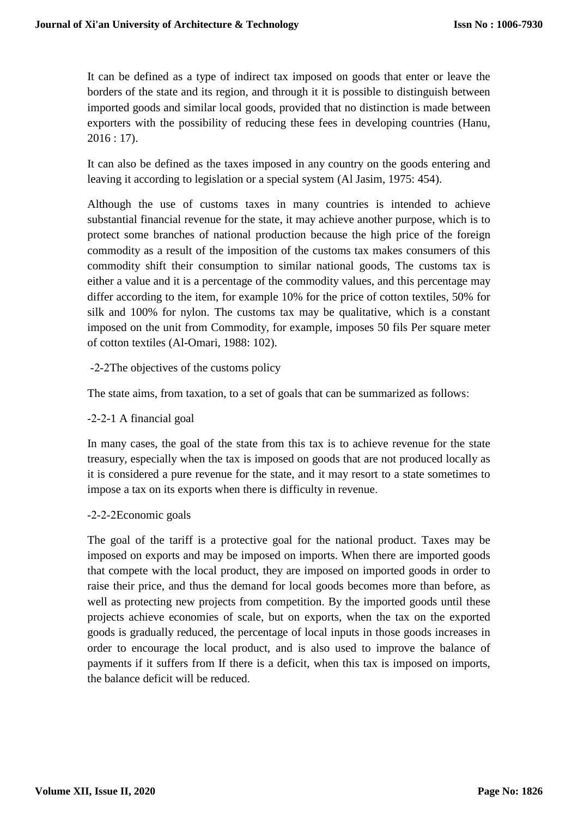It can be defined as a type of indirect tax imposed on goods that enter or leave the borders of the state and its region, and through it it is possible to distinguish between imported goods and similar local goods, provided that no distinction is made between exporters with the possibility of reducing these fees in developing countries (Hanu, 2016 : 17).

It can also be defined as the taxes imposed in any country on the goods entering and leaving it according to legislation or a special system (Al Jasim, 1975: 454).

Although the use of customs taxes in many countries is intended to achieve substantial financial revenue for the state, it may achieve another purpose, which is to protect some branches of national production because the high price of the foreign commodity as a result of the imposition of the customs tax makes consumers of this commodity shift their consumption to similar national goods, The customs tax is either a value and it is a percentage of the commodity values, and this percentage may differ according to the item, for example 10% for the price of cotton textiles, 50% for silk and 100% for nylon. The customs tax may be qualitative, which is a constant imposed on the unit from Commodity, for example, imposes 50 fils Per square meter of cotton textiles (Al-Omari, 1988: 102).

#### -2-2The objectives of the customs policy

The state aims, from taxation, to a set of goals that can be summarized as follows:

#### -2-2-1 A financial goal

In many cases, the goal of the state from this tax is to achieve revenue for the state treasury, especially when the tax is imposed on goods that are not produced locally as it is considered a pure revenue for the state, and it may resort to a state sometimes to impose a tax on its exports when there is difficulty in revenue.

#### -2-2-2Economic goals

The goal of the tariff is a protective goal for the national product. Taxes may be imposed on exports and may be imposed on imports. When there are imported goods that compete with the local product, they are imposed on imported goods in order to raise their price, and thus the demand for local goods becomes more than before, as well as protecting new projects from competition. By the imported goods until these projects achieve economies of scale, but on exports, when the tax on the exported goods is gradually reduced, the percentage of local inputs in those goods increases in order to encourage the local product, and is also used to improve the balance of payments if it suffers from If there is a deficit, when this tax is imposed on imports, the balance deficit will be reduced.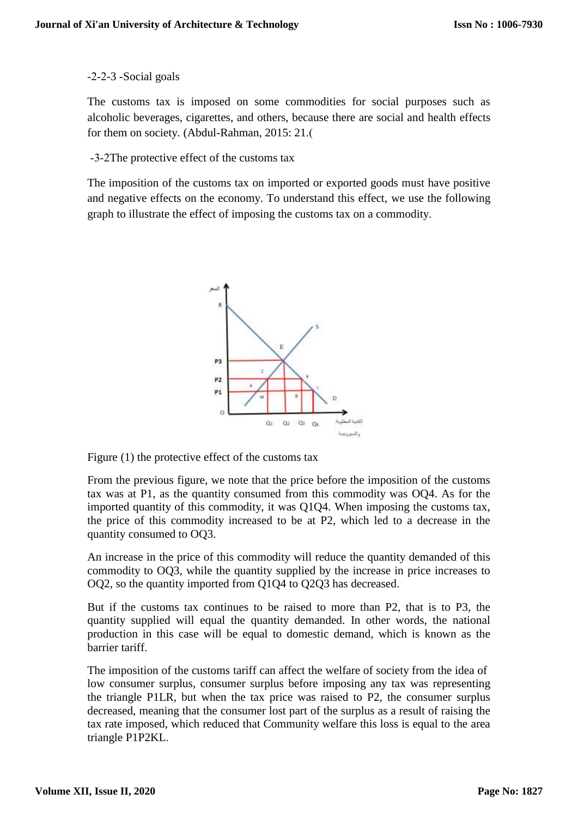#### -2-2-3 -Social goals

The customs tax is imposed on some commodities for social purposes such as alcoholic beverages, cigarettes, and others, because there are social and health effects for them on society. (Abdul-Rahman, 2015: 21.(

#### -3-2The protective effect of the customs tax

The imposition of the customs tax on imported or exported goods must have positive and negative effects on the economy. To understand this effect, we use the following graph to illustrate the effect of imposing the customs tax on a commodity.



Figure (1) the protective effect of the customs tax

From the previous figure, we note that the price before the imposition of the customs tax was at P1, as the quantity consumed from this commodity was OQ4. As for the imported quantity of this commodity, it was Q1Q4. When imposing the customs tax, the price of this commodity increased to be at P2, which led to a decrease in the quantity consumed to OQ3.

An increase in the price of this commodity will reduce the quantity demanded of this commodity to OQ3, while the quantity supplied by the increase in price increases to OQ2, so the quantity imported from Q1Q4 to Q2Q3 has decreased.

But if the customs tax continues to be raised to more than P2, that is to P3, the quantity supplied will equal the quantity demanded. In other words, the national production in this case will be equal to domestic demand, which is known as the barrier tariff.

The imposition of the customs tariff can affect the welfare of society from the idea of low consumer surplus, consumer surplus before imposing any tax was representing the triangle P1LR, but when the tax price was raised to P2, the consumer surplus decreased, meaning that the consumer lost part of the surplus as a result of raising the tax rate imposed, which reduced that Community welfare this loss is equal to the area triangle P1P2KL.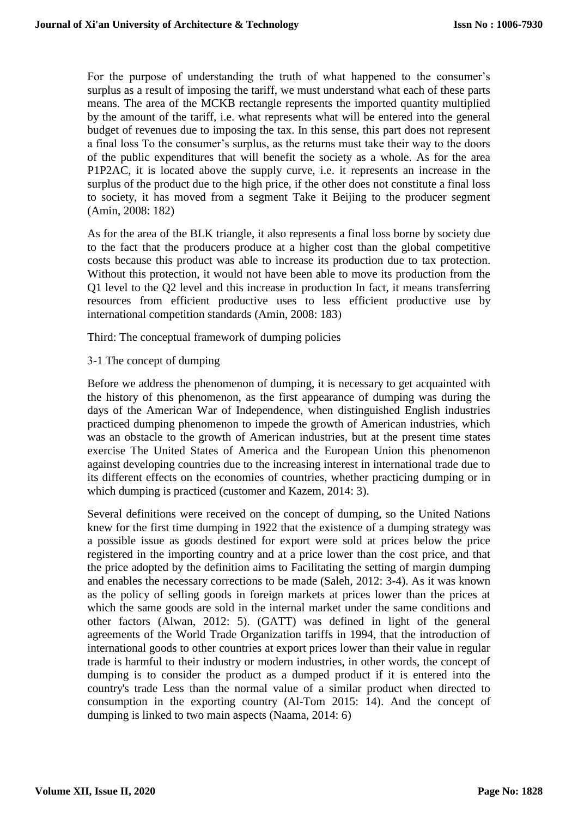For the purpose of understanding the truth of what happened to the consumer's surplus as a result of imposing the tariff, we must understand what each of these parts means. The area of the MCKB rectangle represents the imported quantity multiplied by the amount of the tariff, i.e. what represents what will be entered into the general budget of revenues due to imposing the tax. In this sense, this part does not represent a final loss To the consumer's surplus, as the returns must take their way to the doors of the public expenditures that will benefit the society as a whole. As for the area P1P2AC, it is located above the supply curve, i.e. it represents an increase in the surplus of the product due to the high price, if the other does not constitute a final loss to society, it has moved from a segment Take it Beijing to the producer segment (Amin, 2008: 182)

As for the area of the BLK triangle, it also represents a final loss borne by society due to the fact that the producers produce at a higher cost than the global competitive costs because this product was able to increase its production due to tax protection. Without this protection, it would not have been able to move its production from the Q1 level to the Q2 level and this increase in production In fact, it means transferring resources from efficient productive uses to less efficient productive use by international competition standards (Amin, 2008: 183)

Third: The conceptual framework of dumping policies

3-1 The concept of dumping

Before we address the phenomenon of dumping, it is necessary to get acquainted with the history of this phenomenon, as the first appearance of dumping was during the days of the American War of Independence, when distinguished English industries practiced dumping phenomenon to impede the growth of American industries, which was an obstacle to the growth of American industries, but at the present time states exercise The United States of America and the European Union this phenomenon against developing countries due to the increasing interest in international trade due to its different effects on the economies of countries, whether practicing dumping or in which dumping is practiced (customer and Kazem, 2014: 3).

Several definitions were received on the concept of dumping, so the United Nations knew for the first time dumping in 1922 that the existence of a dumping strategy was a possible issue as goods destined for export were sold at prices below the price registered in the importing country and at a price lower than the cost price, and that the price adopted by the definition aims to Facilitating the setting of margin dumping and enables the necessary corrections to be made (Saleh, 2012: 3-4). As it was known as the policy of selling goods in foreign markets at prices lower than the prices at which the same goods are sold in the internal market under the same conditions and other factors (Alwan, 2012: 5). (GATT) was defined in light of the general agreements of the World Trade Organization tariffs in 1994, that the introduction of international goods to other countries at export prices lower than their value in regular trade is harmful to their industry or modern industries, in other words, the concept of dumping is to consider the product as a dumped product if it is entered into the country's trade Less than the normal value of a similar product when directed to consumption in the exporting country (Al-Tom 2015: 14). And the concept of dumping is linked to two main aspects (Naama, 2014: 6)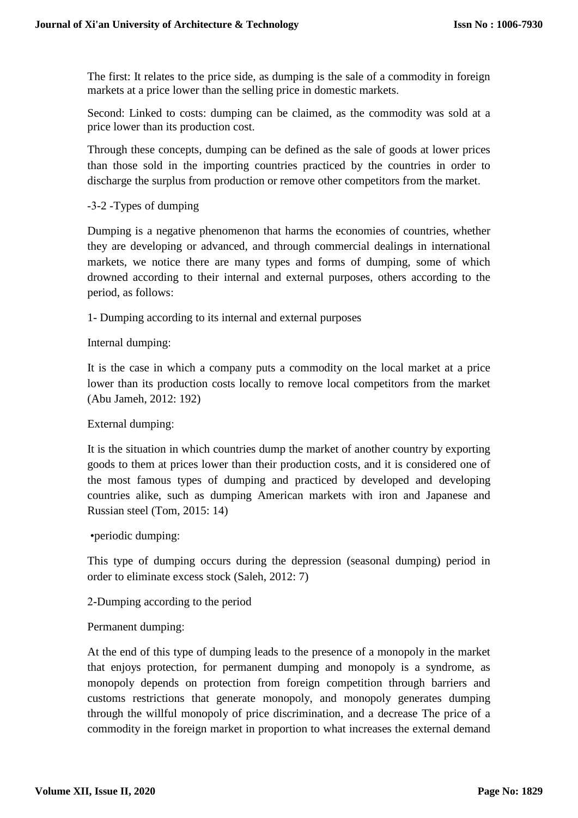The first: It relates to the price side, as dumping is the sale of a commodity in foreign markets at a price lower than the selling price in domestic markets.

Second: Linked to costs: dumping can be claimed, as the commodity was sold at a price lower than its production cost.

Through these concepts, dumping can be defined as the sale of goods at lower prices than those sold in the importing countries practiced by the countries in order to discharge the surplus from production or remove other competitors from the market.

-3-2 -Types of dumping

Dumping is a negative phenomenon that harms the economies of countries, whether they are developing or advanced, and through commercial dealings in international markets, we notice there are many types and forms of dumping, some of which drowned according to their internal and external purposes, others according to the period, as follows:

1- Dumping according to its internal and external purposes

Internal dumping:

It is the case in which a company puts a commodity on the local market at a price lower than its production costs locally to remove local competitors from the market (Abu Jameh, 2012: 192)

External dumping:

It is the situation in which countries dump the market of another country by exporting goods to them at prices lower than their production costs, and it is considered one of the most famous types of dumping and practiced by developed and developing countries alike, such as dumping American markets with iron and Japanese and Russian steel (Tom, 2015: 14)

•periodic dumping:

This type of dumping occurs during the depression (seasonal dumping) period in order to eliminate excess stock (Saleh, 2012: 7)

2-Dumping according to the period

Permanent dumping:

At the end of this type of dumping leads to the presence of a monopoly in the market that enjoys protection, for permanent dumping and monopoly is a syndrome, as monopoly depends on protection from foreign competition through barriers and customs restrictions that generate monopoly, and monopoly generates dumping through the willful monopoly of price discrimination, and a decrease The price of a commodity in the foreign market in proportion to what increases the external demand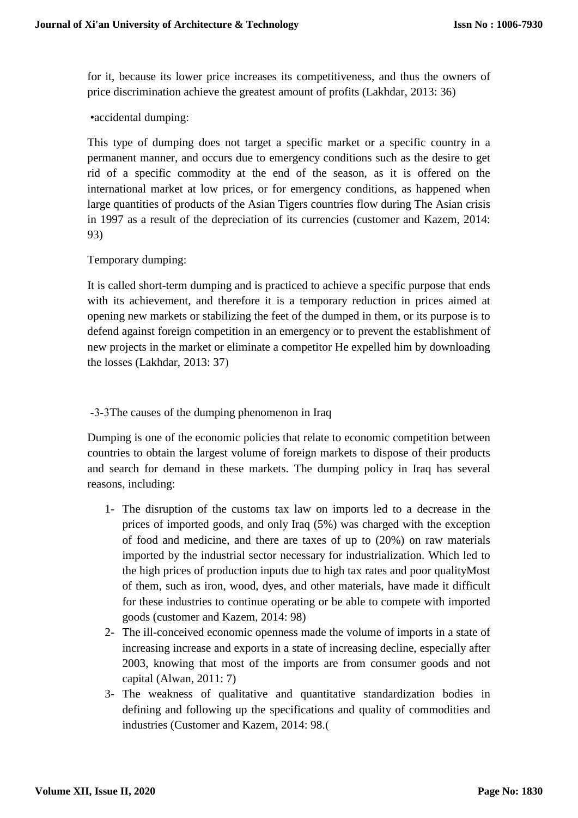for it, because its lower price increases its competitiveness, and thus the owners of price discrimination achieve the greatest amount of profits (Lakhdar, 2013: 36)

•accidental dumping:

This type of dumping does not target a specific market or a specific country in a permanent manner, and occurs due to emergency conditions such as the desire to get rid of a specific commodity at the end of the season, as it is offered on the international market at low prices, or for emergency conditions, as happened when large quantities of products of the Asian Tigers countries flow during The Asian crisis in 1997 as a result of the depreciation of its currencies (customer and Kazem, 2014: 93)

#### Temporary dumping:

It is called short-term dumping and is practiced to achieve a specific purpose that ends with its achievement, and therefore it is a temporary reduction in prices aimed at opening new markets or stabilizing the feet of the dumped in them, or its purpose is to defend against foreign competition in an emergency or to prevent the establishment of new projects in the market or eliminate a competitor He expelled him by downloading the losses (Lakhdar, 2013: 37)

-3-3The causes of the dumping phenomenon in Iraq

Dumping is one of the economic policies that relate to economic competition between countries to obtain the largest volume of foreign markets to dispose of their products and search for demand in these markets. The dumping policy in Iraq has several reasons, including:

- 1- The disruption of the customs tax law on imports led to a decrease in the prices of imported goods, and only Iraq (5%) was charged with the exception of food and medicine, and there are taxes of up to (20%) on raw materials imported by the industrial sector necessary for industrialization. Which led to the high prices of production inputs due to high tax rates and poor qualityMost of them, such as iron, wood, dyes, and other materials, have made it difficult for these industries to continue operating or be able to compete with imported goods (customer and Kazem, 2014: 98)
- 2- The ill-conceived economic openness made the volume of imports in a state of increasing increase and exports in a state of increasing decline, especially after 2003, knowing that most of the imports are from consumer goods and not capital (Alwan, 2011: 7)
- 3- The weakness of qualitative and quantitative standardization bodies in defining and following up the specifications and quality of commodities and industries (Customer and Kazem, 2014: 98.)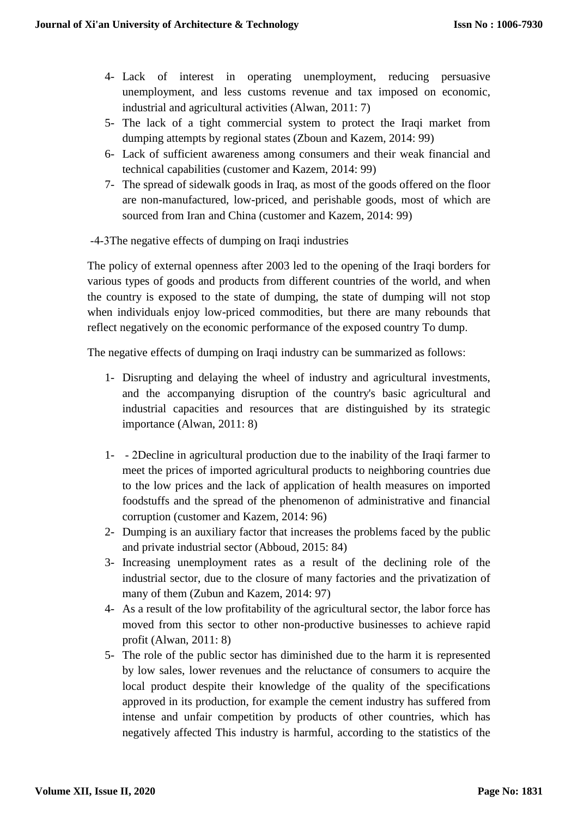- 4- Lack of interest in operating unemployment, reducing persuasive unemployment, and less customs revenue and tax imposed on economic, industrial and agricultural activities (Alwan, 2011: 7)
- 5- The lack of a tight commercial system to protect the Iraqi market from dumping attempts by regional states (Zboun and Kazem, 2014: 99)
- 6- Lack of sufficient awareness among consumers and their weak financial and technical capabilities (customer and Kazem, 2014: 99)
- 7- The spread of sidewalk goods in Iraq, as most of the goods offered on the floor are non-manufactured, low-priced, and perishable goods, most of which are sourced from Iran and China (customer and Kazem, 2014: 99)
- -4-3The negative effects of dumping on Iraqi industries

The policy of external openness after 2003 led to the opening of the Iraqi borders for various types of goods and products from different countries of the world, and when the country is exposed to the state of dumping, the state of dumping will not stop when individuals enjoy low-priced commodities, but there are many rebounds that reflect negatively on the economic performance of the exposed country To dump.

The negative effects of dumping on Iraqi industry can be summarized as follows:

- 1- Disrupting and delaying the wheel of industry and agricultural investments, and the accompanying disruption of the country's basic agricultural and industrial capacities and resources that are distinguished by its strategic importance (Alwan, 2011: 8)
- 1- 2Decline in agricultural production due to the inability of the Iraqi farmer to meet the prices of imported agricultural products to neighboring countries due to the low prices and the lack of application of health measures on imported foodstuffs and the spread of the phenomenon of administrative and financial corruption (customer and Kazem, 2014: 96)
- 2- Dumping is an auxiliary factor that increases the problems faced by the public and private industrial sector (Abboud, 2015: 84)
- 3- Increasing unemployment rates as a result of the declining role of the industrial sector, due to the closure of many factories and the privatization of many of them (Zubun and Kazem, 2014: 97)
- 4- As a result of the low profitability of the agricultural sector, the labor force has moved from this sector to other non-productive businesses to achieve rapid profit (Alwan, 2011: 8)
- 5- The role of the public sector has diminished due to the harm it is represented by low sales, lower revenues and the reluctance of consumers to acquire the local product despite their knowledge of the quality of the specifications approved in its production, for example the cement industry has suffered from intense and unfair competition by products of other countries, which has negatively affected This industry is harmful, according to the statistics of the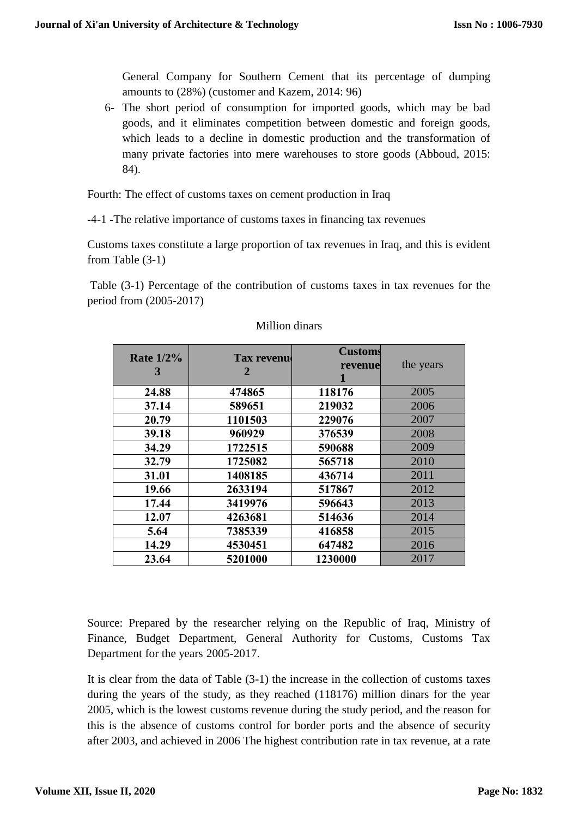General Company for Southern Cement that its percentage of dumping amounts to (28%) (customer and Kazem, 2014: 96)

6- The short period of consumption for imported goods, which may be bad goods, and it eliminates competition between domestic and foreign goods, which leads to a decline in domestic production and the transformation of many private factories into mere warehouses to store goods (Abboud, 2015: 84).

Fourth: The effect of customs taxes on cement production in Iraq

-4-1 -The relative importance of customs taxes in financing tax revenues

Customs taxes constitute a large proportion of tax revenues in Iraq, and this is evident from Table (3-1)

Table (3-1) Percentage of the contribution of customs taxes in tax revenues for the period from (2005-2017)

| Rate $1/2\%$<br>3 | <b>Tax revenue</b><br>2 | <b>Customs</b><br>revenue | the years |
|-------------------|-------------------------|---------------------------|-----------|
| 24.88             | 474865                  | 118176                    | 2005      |
| 37.14             | 589651                  | 219032                    | 2006      |
| 20.79             | 1101503                 | 229076                    | 2007      |
| 39.18             | 960929                  | 376539                    | 2008      |
| 34.29             | 1722515                 | 590688                    | 2009      |
| 32.79             | 1725082                 | 565718                    | 2010      |
| 31.01             | 1408185                 | 436714                    | 2011      |
| 19.66             | 2633194                 | 517867                    | 2012      |
| 17.44             | 3419976                 | 596643                    | 2013      |
| 12.07             | 4263681                 | 514636                    | 2014      |
| 5.64              | 7385339                 | 416858                    | 2015      |
| 14.29             | 4530451                 | 647482                    | 2016      |
| 23.64             | 5201000                 | 1230000                   | 2017      |

#### Million dinars

Source: Prepared by the researcher relying on the Republic of Iraq, Ministry of Finance, Budget Department, General Authority for Customs, Customs Tax Department for the years 2005-2017.

It is clear from the data of Table (3-1) the increase in the collection of customs taxes during the years of the study, as they reached (118176) million dinars for the year 2005, which is the lowest customs revenue during the study period, and the reason for this is the absence of customs control for border ports and the absence of security after 2003, and achieved in 2006 The highest contribution rate in tax revenue, at a rate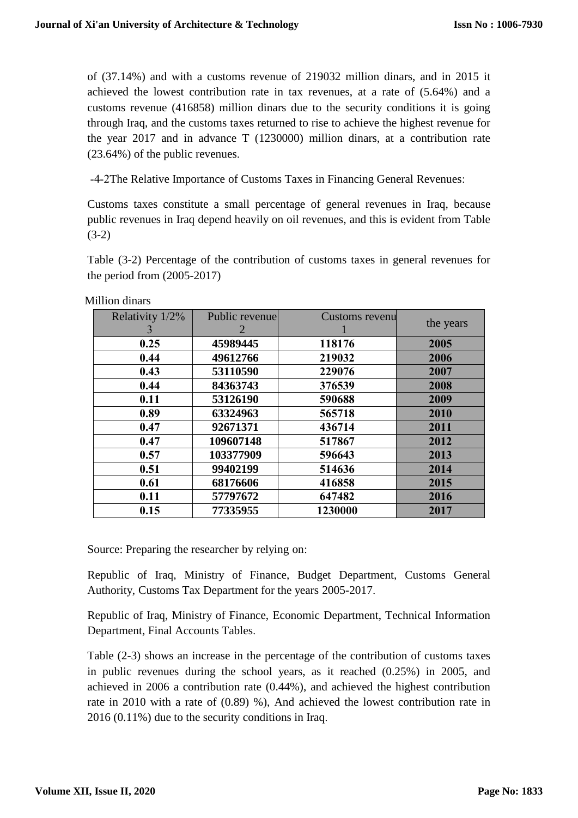of (37.14%) and with a customs revenue of 219032 million dinars, and in 2015 it achieved the lowest contribution rate in tax revenues, at a rate of (5.64%) and a customs revenue (416858) million dinars due to the security conditions it is going through Iraq, and the customs taxes returned to rise to achieve the highest revenue for the year 2017 and in advance T (1230000) million dinars, at a contribution rate (23.64%) of the public revenues.

-4-2The Relative Importance of Customs Taxes in Financing General Revenues:

Customs taxes constitute a small percentage of general revenues in Iraq, because public revenues in Iraq depend heavily on oil revenues, and this is evident from Table (3-2)

Table (3-2) Percentage of the contribution of customs taxes in general revenues for the period from (2005-2017)

| Relativity 1/2%<br>$\overline{3}$ | Public revenue<br>2 | Customs revenu | the years |
|-----------------------------------|---------------------|----------------|-----------|
| 0.25                              | 45989445            | 118176         | 2005      |
| 0.44                              | 49612766            | 219032         | 2006      |
| 0.43                              | 53110590            | 229076         | 2007      |
| 0.44                              | 84363743            | 376539         | 2008      |
| 0.11                              | 53126190            | 590688         | 2009      |
| 0.89                              | 63324963            | 565718         | 2010      |
| 0.47                              | 92671371            | 436714         | 2011      |
| 0.47                              | 109607148           | 517867         | 2012      |
| 0.57                              | 103377909           | 596643         | 2013      |
| 0.51                              | 99402199            | 514636         | 2014      |
| 0.61                              | 68176606            | 416858         | 2015      |
| 0.11                              | 57797672            | 647482         | 2016      |
| 0.15                              | 77335955            | 1230000        | 2017      |

Million dinars

Source: Preparing the researcher by relying on:

Republic of Iraq, Ministry of Finance, Budget Department, Customs General Authority, Customs Tax Department for the years 2005-2017.

Republic of Iraq, Ministry of Finance, Economic Department, Technical Information Department, Final Accounts Tables.

Table (2-3) shows an increase in the percentage of the contribution of customs taxes in public revenues during the school years, as it reached (0.25%) in 2005, and achieved in 2006 a contribution rate (0.44%), and achieved the highest contribution rate in 2010 with a rate of (0.89) %), And achieved the lowest contribution rate in 2016 (0.11%) due to the security conditions in Iraq.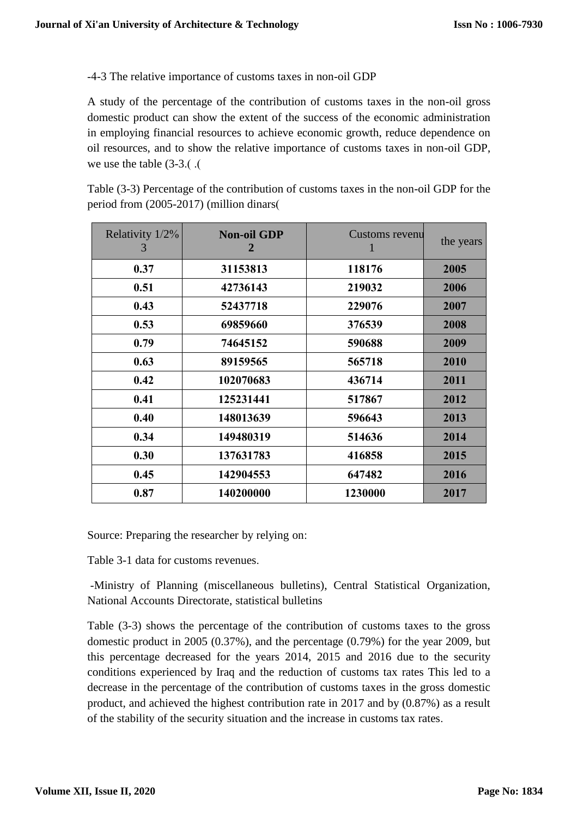-4-3 The relative importance of customs taxes in non-oil GDP

A study of the percentage of the contribution of customs taxes in the non-oil gross domestic product can show the extent of the success of the economic administration in employing financial resources to achieve economic growth, reduce dependence on oil resources, and to show the relative importance of customs taxes in non-oil GDP, we use the table  $(3-3)$ .

Table (3-3) Percentage of the contribution of customs taxes in the non-oil GDP for the period from (2005-2017) (million dinars)

| Relativity 1/2%<br>3 | <b>Non-oil GDP</b><br>2 | <b>Customs revenu</b> | the years |
|----------------------|-------------------------|-----------------------|-----------|
| 0.37                 | 31153813                | 118176                | 2005      |
| 0.51                 | 42736143                | 219032                | 2006      |
| 0.43                 | 52437718                | 229076                | 2007      |
| 0.53                 | 69859660                | 376539                | 2008      |
| 0.79                 | 74645152                | 590688                | 2009      |
| 0.63                 | 89159565                | 565718                | 2010      |
| 0.42                 | 102070683               | 436714                | 2011      |
| 0.41                 | 125231441               | 517867                | 2012      |
| 0.40                 | 148013639               | 596643                | 2013      |
| 0.34                 | 149480319               | 514636                | 2014      |
| 0.30                 | 137631783               | 416858                | 2015      |
| 0.45                 | 142904553               | 647482                | 2016      |
| 0.87                 | 140200000               | 1230000               | 2017      |

Source: Preparing the researcher by relying on:

Table 3-1 data for customs revenues.

-Ministry of Planning (miscellaneous bulletins), Central Statistical Organization, National Accounts Directorate, statistical bulletins

Table (3-3) shows the percentage of the contribution of customs taxes to the gross domestic product in 2005 (0.37%), and the percentage (0.79%) for the year 2009, but this percentage decreased for the years 2014, 2015 and 2016 due to the security conditions experienced by Iraq and the reduction of customs tax rates This led to a decrease in the percentage of the contribution of customs taxes in the gross domestic product, and achieved the highest contribution rate in 2017 and by (0.87%) as a result of the stability of the security situation and the increase in customs tax rates.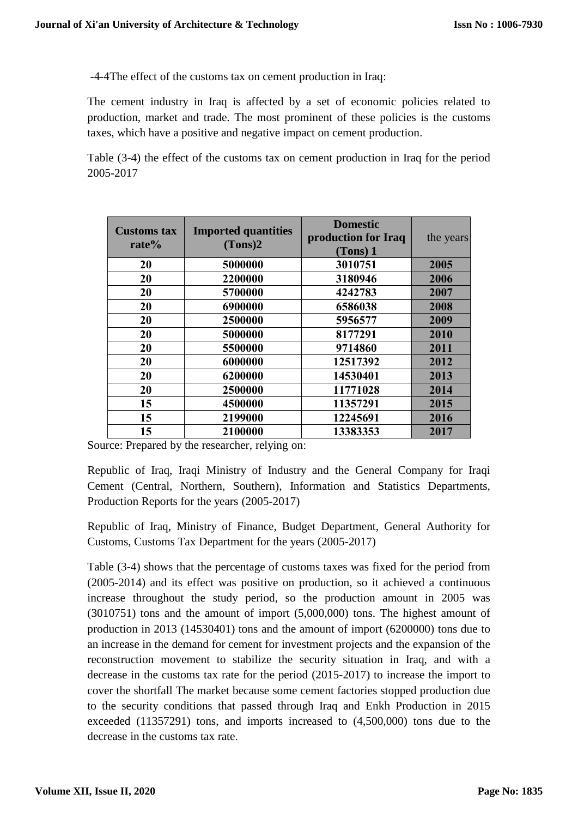-4-4The effect of the customs tax on cement production in Iraq:

The cement industry in Iraq is affected by a set of economic policies related to production, market and trade. The most prominent of these policies is the customs taxes, which have a positive and negative impact on cement production.

Table (3-4) the effect of the customs tax on cement production in Iraq for the period 2005-2017

| <b>Customs tax</b><br>rate% | <b>Imported quantities</b><br>(Tons)2 | <b>Domestic</b><br>production for Iraq | the years |
|-----------------------------|---------------------------------------|----------------------------------------|-----------|
|                             |                                       | $(Tons)$ 1                             |           |
| 20                          | 5000000                               | 3010751                                | 2005      |
| 20                          | 2200000                               | 3180946                                | 2006      |
| 20                          | 5700000                               | 4242783                                | 2007      |
| 20                          | 6900000                               | 6586038                                | 2008      |
| 20                          | 2500000                               | 5956577                                | 2009      |
| 20                          | 5000000                               | 8177291                                | 2010      |
| 20                          | 5500000                               | 9714860                                | 2011      |
| 20                          | 6000000                               | 12517392                               | 2012      |
| 20                          | 6200000                               | 14530401                               | 2013      |
| 20                          | 2500000                               | 11771028                               | 2014      |
| 15                          | 4500000                               | 11357291                               | 2015      |
| 15                          | 2199000                               | 12245691                               | 2016      |
| 15                          | 2100000                               | 13383353                               | 2017      |

Source: Prepared by the researcher, relying on:

Republic of Iraq, Iraqi Ministry of Industry and the General Company for Iraqi Cement (Central, Northern, Southern), Information and Statistics Departments, Production Reports for the years (2005-2017)

Republic of Iraq, Ministry of Finance, Budget Department, General Authority for Customs, Customs Tax Department for the years (2005-2017)

Table (3-4) shows that the percentage of customs taxes was fixed for the period from (2005-2014) and its effect was positive on production, so it achieved a continuous increase throughout the study period, so the production amount in 2005 was (3010751) tons and the amount of import (5,000,000) tons. The highest amount of production in 2013 (14530401) tons and the amount of import (6200000) tons due to an increase in the demand for cement for investment projects and the expansion of the reconstruction movement to stabilize the security situation in Iraq, and with a decrease in the customs tax rate for the period (2015-2017) to increase the import to cover the shortfall The market because some cement factories stopped production due to the security conditions that passed through Iraq and Enkh Production in 2015 exceeded (11357291) tons, and imports increased to (4,500,000) tons due to the decrease in the customs tax rate.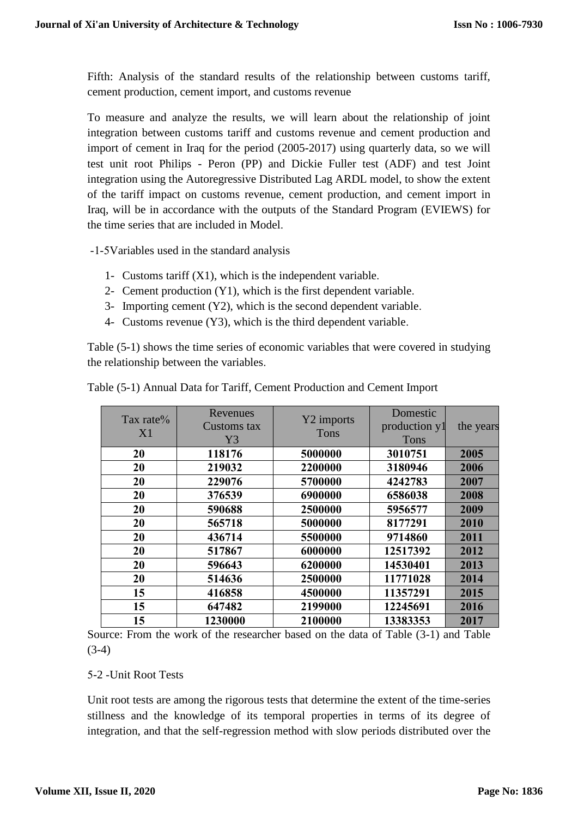Fifth: Analysis of the standard results of the relationship between customs tariff, cement production, cement import, and customs revenue

To measure and analyze the results, we will learn about the relationship of joint integration between customs tariff and customs revenue and cement production and import of cement in Iraq for the period (2005-2017) using quarterly data, so we will test unit root Philips - Peron (PP) and Dickie Fuller test (ADF) and test Joint integration using the Autoregressive Distributed Lag ARDL model, to show the extent of the tariff impact on customs revenue, cement production, and cement import in Iraq, will be in accordance with the outputs of the Standard Program (EVIEWS) for the time series that are included in Model.

-1-5Variables used in the standard analysis

- 1- Customs tariff (X1), which is the independent variable.
- 2- Cement production (Y1), which is the first dependent variable.
- 3- Importing cement (Y2), which is the second dependent variable.
- 4- Customs revenue (Y3), which is the third dependent variable.

Table (5-1) shows the time series of economic variables that were covered in studying the relationship between the variables.

| Tax rate $%$<br>X1 | Revenues<br>Customs tax<br>Y <sub>3</sub> | Y2 imports<br>Tons | Domestic<br>production y1<br>Tons | the years |
|--------------------|-------------------------------------------|--------------------|-----------------------------------|-----------|
| 20                 | 118176                                    | 5000000            | 3010751                           | 2005      |
| 20                 | 219032                                    | 2200000            | 3180946                           | 2006      |
| 20                 | 229076                                    | 5700000            | 4242783                           | 2007      |
| 20                 | 376539                                    | 6900000            | 6586038                           | 2008      |
| 20                 | 590688                                    | 2500000            | 5956577                           | 2009      |
| 20                 | 565718                                    | 5000000            | 8177291                           | 2010      |
| 20                 | 436714                                    | 5500000            | 9714860                           | 2011      |
| 20                 | 517867                                    | 6000000            | 12517392                          | 2012      |
| 20                 | 596643                                    | 6200000            | 14530401                          | 2013      |
| 20                 | 514636                                    | 2500000            | 11771028                          | 2014      |
| 15                 | 416858                                    | 4500000            | 11357291                          | 2015      |
| 15                 | 647482                                    | 2199000            | 12245691                          | 2016      |
| 15                 | 1230000                                   | 2100000            | 13383353                          | 2017      |

Table (5-1) Annual Data for Tariff, Cement Production and Cement Import

Source: From the work of the researcher based on the data of Table (3-1) and Table (3-4)

#### 5-2 -Unit Root Tests

Unit root tests are among the rigorous tests that determine the extent of the time-series stillness and the knowledge of its temporal properties in terms of its degree of integration, and that the self-regression method with slow periods distributed over the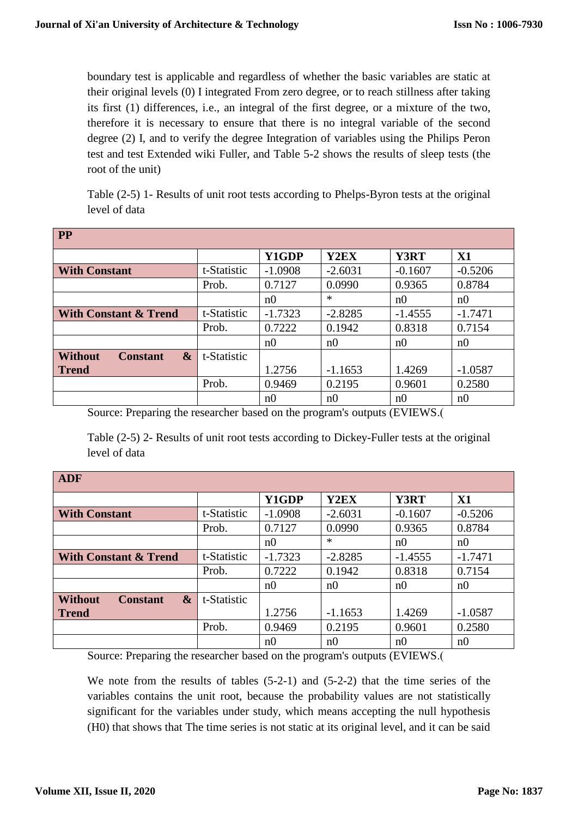boundary test is applicable and regardless of whether the basic variables are static at their original levels (0) I integrated From zero degree, or to reach stillness after taking its first (1) differences, i.e., an integral of the first degree, or a mixture of the two, therefore it is necessary to ensure that there is no integral variable of the second degree (2) I, and to verify the degree Integration of variables using the Philips Peron test and test Extended wiki Fuller, and Table 5-2 shows the results of sleep tests (the root of the unit)

Table (2-5) 1- Results of unit root tests according to Phelps-Byron tests at the original level of data

| <b>PP</b>                                              |             |                |                |                |                |
|--------------------------------------------------------|-------------|----------------|----------------|----------------|----------------|
|                                                        |             | Y1GDP          | Y2EX           | Y3RT           | X1             |
| <b>With Constant</b>                                   | t-Statistic | $-1.0908$      | $-2.6031$      | $-0.1607$      | $-0.5206$      |
|                                                        | Prob.       | 0.7127         | 0.0990         | 0.9365         | 0.8784         |
|                                                        |             | n()            | $\ast$         | n()            | n()            |
| <b>With Constant &amp; Trend</b>                       | t-Statistic | $-1.7323$      | $-2.8285$      | $-1.4555$      | $-1.7471$      |
|                                                        | Prob.       | 0.7222         | 0.1942         | 0.8318         | 0.7154         |
|                                                        |             | n()            | n()            | n <sub>0</sub> | n <sub>0</sub> |
| <b>Without</b><br>$\boldsymbol{\&}$<br><b>Constant</b> | t-Statistic |                |                |                |                |
| <b>Trend</b>                                           |             | 1.2756         | $-1.1653$      | 1.4269         | $-1.0587$      |
|                                                        | Prob.       | 0.9469         | 0.2195         | 0.9601         | 0.2580         |
|                                                        |             | n <sub>0</sub> | n <sub>0</sub> | n <sub>0</sub> | n <sub>0</sub> |

Source: Preparing the researcher based on the program's outputs (EVIEWS.)

Table (2-5) 2- Results of unit root tests according to Dickey-Fuller tests at the original level of data

| <b>ADF</b>                                                 |             |                |                |                |                |  |  |  |  |
|------------------------------------------------------------|-------------|----------------|----------------|----------------|----------------|--|--|--|--|
|                                                            |             | Y1GDP          | Y2EX           | Y3RT           | X1             |  |  |  |  |
| <b>With Constant</b>                                       | t-Statistic | $-1.0908$      | $-2.6031$      | $-0.1607$      | $-0.5206$      |  |  |  |  |
|                                                            | Prob.       | 0.7127         | 0.0990         | 0.9365         | 0.8784         |  |  |  |  |
|                                                            |             | n0             | $\ast$         | n0             | n0             |  |  |  |  |
| <b>With Constant &amp; Trend</b>                           | t-Statistic | $-1.7323$      | $-2.8285$      | $-1.4555$      | $-1.7471$      |  |  |  |  |
|                                                            | Prob.       | 0.7222         | 0.1942         | 0.8318         | 0.7154         |  |  |  |  |
|                                                            |             | n <sub>0</sub> | n <sub>0</sub> | n <sub>0</sub> | n <sub>0</sub> |  |  |  |  |
| <b>Without</b><br>$\boldsymbol{\alpha}$<br><b>Constant</b> | t-Statistic |                |                |                |                |  |  |  |  |
| <b>Trend</b>                                               |             | 1.2756         | $-1.1653$      | 1.4269         | $-1.0587$      |  |  |  |  |
|                                                            | Prob.       | 0.9469         | 0.2195         | 0.9601         | 0.2580         |  |  |  |  |
|                                                            |             | n <sub>0</sub> | n <sub>0</sub> | n <sub>0</sub> | n <sub>0</sub> |  |  |  |  |

Source: Preparing the researcher based on the program's outputs (EVIEWS.)

We note from the results of tables (5-2-1) and (5-2-2) that the time series of the variables contains the unit root, because the probability values are not statistically significant for the variables under study, which means accepting the null hypothesis (H0) that shows that The time series is not static at its original level, and it can be said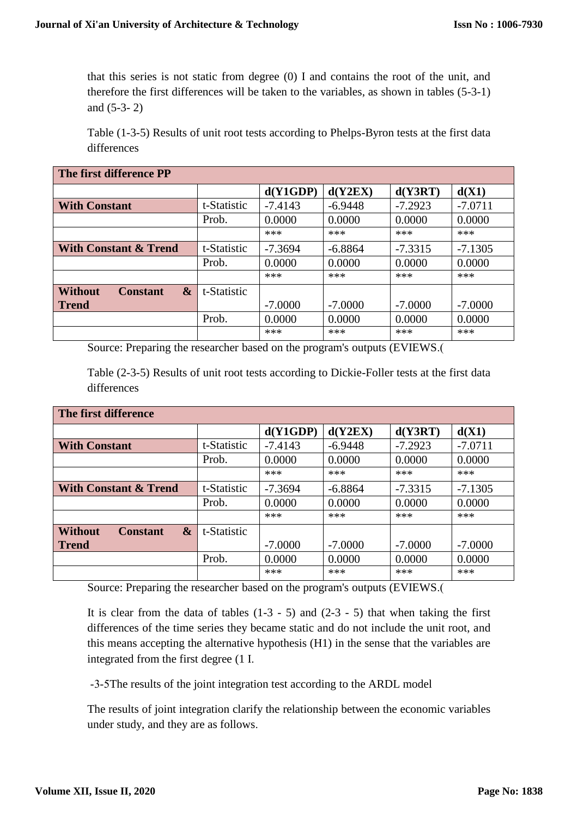that this series is not static from degree (0) I and contains the root of the unit, and therefore the first differences will be taken to the variables, as shown in tables (5-3-1) and (5-3- 2)

Table (1-3-5) Results of unit root tests according to Phelps-Byron tests at the first data differences

| The first difference PP                                |             |           |           |           |           |  |  |  |  |
|--------------------------------------------------------|-------------|-----------|-----------|-----------|-----------|--|--|--|--|
|                                                        |             | d(Y1GDP)  | d(Y2EX)   | d(Y3RT)   | d(X1)     |  |  |  |  |
| <b>With Constant</b>                                   | t-Statistic | $-7.4143$ | $-6.9448$ | $-7.2923$ | $-7.0711$ |  |  |  |  |
|                                                        | Prob.       | 0.0000    | 0.0000    | 0.0000    | 0.0000    |  |  |  |  |
|                                                        |             | ***       | ***       | ***       | ***       |  |  |  |  |
| <b>With Constant &amp; Trend</b>                       | t-Statistic | $-7.3694$ | $-6.8864$ | $-7.3315$ | $-7.1305$ |  |  |  |  |
|                                                        | Prob.       | 0.0000    | 0.0000    | 0.0000    | 0.0000    |  |  |  |  |
|                                                        |             | ***       | ***       | ***       | ***       |  |  |  |  |
| <b>Without</b><br>$\boldsymbol{\&}$<br><b>Constant</b> | t-Statistic |           |           |           |           |  |  |  |  |
| <b>Trend</b>                                           |             | $-7.0000$ | $-7.0000$ | $-7.0000$ | $-7.0000$ |  |  |  |  |
|                                                        | Prob.       | 0.0000    | 0.0000    | 0.0000    | 0.0000    |  |  |  |  |
|                                                        |             | ***       | ***       | ***       | ***       |  |  |  |  |

Source: Preparing the researcher based on the program's outputs (EVIEWS.)

Table (2-3-5) Results of unit root tests according to Dickie-Foller tests at the first data differences

| The first difference                                   |             |           |           |           |           |  |  |  |  |
|--------------------------------------------------------|-------------|-----------|-----------|-----------|-----------|--|--|--|--|
|                                                        |             | d(Y1GDP)  | d(Y2EX)   | d(Y3RT)   | d(X1)     |  |  |  |  |
| <b>With Constant</b>                                   | t-Statistic | $-7.4143$ | $-6.9448$ | $-7.2923$ | $-7.0711$ |  |  |  |  |
|                                                        | Prob.       | 0.0000    | 0.0000    | 0.0000    | 0.0000    |  |  |  |  |
|                                                        |             | ***       | ***       | ***       | ***       |  |  |  |  |
| <b>With Constant &amp; Trend</b>                       | t-Statistic | $-7.3694$ | $-6.8864$ | $-7.3315$ | $-7.1305$ |  |  |  |  |
|                                                        | Prob.       | 0.0000    | 0.0000    | 0.0000    | 0.0000    |  |  |  |  |
|                                                        |             | ***       | ***       | ***       | ***       |  |  |  |  |
| $\boldsymbol{\&}$<br><b>Without</b><br><b>Constant</b> | t-Statistic |           |           |           |           |  |  |  |  |
| <b>Trend</b>                                           |             | $-7.0000$ | $-7.0000$ | $-7.0000$ | $-7.0000$ |  |  |  |  |
|                                                        | Prob.       | 0.0000    | 0.0000    | 0.0000    | 0.0000    |  |  |  |  |
|                                                        |             | ***       | ***       | ***       | ***       |  |  |  |  |

Source: Preparing the researcher based on the program's outputs (EVIEWS.)

It is clear from the data of tables  $(1-3 - 5)$  and  $(2-3 - 5)$  that when taking the first differences of the time series they became static and do not include the unit root, and this means accepting the alternative hypothesis (H1) in the sense that the variables are integrated from the first degree (1 I.

-3-5The results of the joint integration test according to the ARDL model

The results of joint integration clarify the relationship between the economic variables under study, and they are as follows.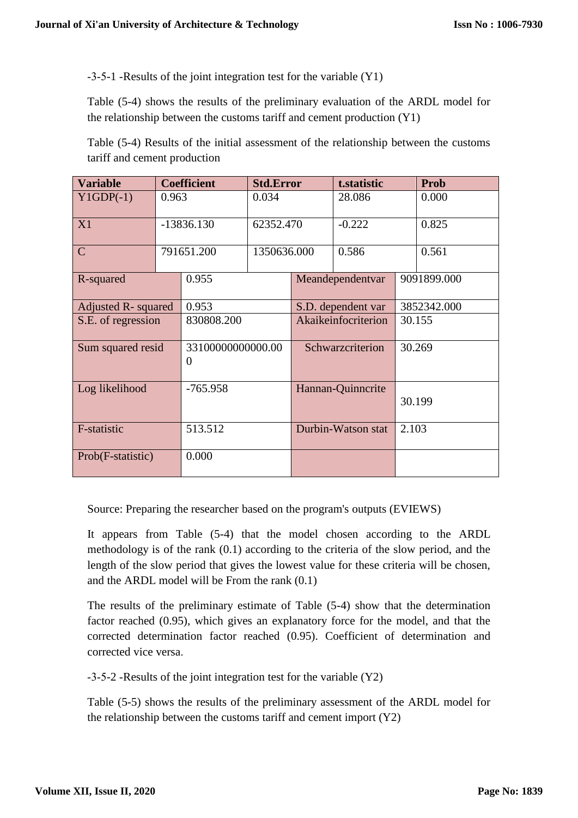-3-5-1 -Results of the joint integration test for the variable (Y1)

Table (5-4) shows the results of the preliminary evaluation of the ARDL model for the relationship between the customs tariff and cement production (Y1)

Table (5-4) Results of the initial assessment of the relationship between the customs tariff and cement production

| <b>Variable</b>              |                                                    | <b>Coefficient</b> | <b>Std.Error</b>  | t.statistic        |                     |             | <b>Prob</b> |  |
|------------------------------|----------------------------------------------------|--------------------|-------------------|--------------------|---------------------|-------------|-------------|--|
| $Y1GDP(-1)$                  | 0.963                                              | 0.034              |                   | 28.086             |                     | 0.000       |             |  |
| X1                           |                                                    | $-13836.130$       | 62352.470         |                    | $-0.222$            |             | 0.825       |  |
| $\mathbf C$                  |                                                    | 791651.200         | 1350636.000       |                    | 0.586               |             | 0.561       |  |
| R-squared                    |                                                    | 0.955              | Meandependentvar  |                    |                     |             | 9091899.000 |  |
| Adjusted R-squared           |                                                    | 0.953              |                   |                    | S.D. dependent var  | 3852342.000 |             |  |
|                              | S.E. of regression                                 |                    | 830808.200        |                    | Akaikeinfocriterion |             | 30.155      |  |
|                              | Sum squared resid<br>33100000000000.00<br>$\theta$ |                    |                   | Schwarzcriterion   |                     | 30.269      |             |  |
| Log likelihood<br>$-765.958$ |                                                    |                    | Hannan-Quinncrite |                    |                     | 30.199      |             |  |
| F-statistic                  |                                                    | 513.512            |                   | Durbin-Watson stat |                     | 2.103       |             |  |
| Prob(F-statistic)            |                                                    | 0.000              |                   |                    |                     |             |             |  |

Source: Preparing the researcher based on the program's outputs (EVIEWS)

It appears from Table (5-4) that the model chosen according to the ARDL methodology is of the rank (0.1) according to the criteria of the slow period, and the length of the slow period that gives the lowest value for these criteria will be chosen, and the ARDL model will be From the rank (0.1)

The results of the preliminary estimate of Table (5-4) show that the determination factor reached (0.95), which gives an explanatory force for the model, and that the corrected determination factor reached (0.95). Coefficient of determination and corrected vice versa.

-3-5-2 -Results of the joint integration test for the variable (Y2)

Table (5-5) shows the results of the preliminary assessment of the ARDL model for the relationship between the customs tariff and cement import  $(Y2)$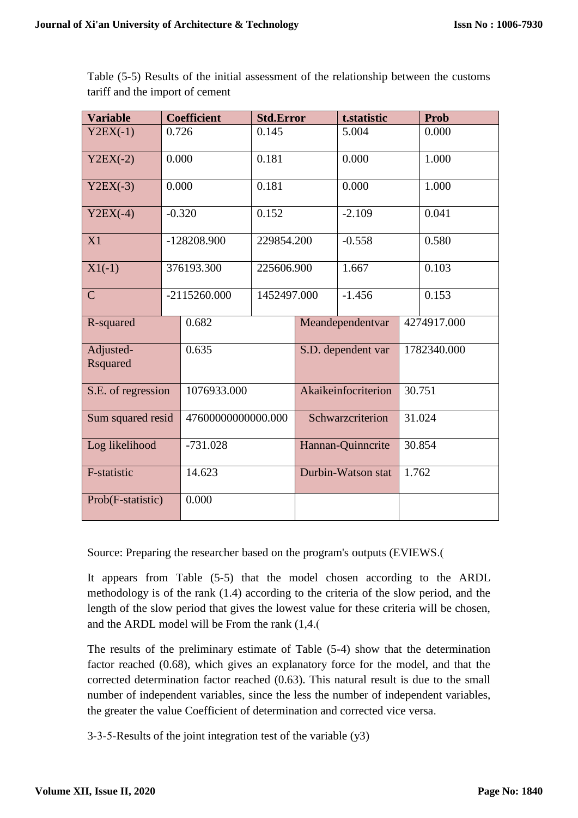| $YZEX(-1)$                   | 0.726      |                    | 0.145       |                     | 5.004              |        | 0.000       |
|------------------------------|------------|--------------------|-------------|---------------------|--------------------|--------|-------------|
| $YZEX(-2)$                   | 0.000      |                    | 0.181       |                     | 0.000              |        | 1.000       |
| $YZEX(-3)$                   | 0.000      |                    | 0.181       |                     | 0.000              |        | 1.000       |
| $YZEX(-4)$                   |            | $-0.320$           | 0.152       |                     | $-2.109$           |        | 0.041       |
| X1                           |            | -128208.900        | 229854.200  |                     | $-0.558$           |        | 0.580       |
| $X1(-1)$                     |            | 376193.300         | 225606.900  |                     | 1.667              |        | 0.103       |
| $\mathbf C$                  |            | $-2115260.000$     | 1452497.000 |                     | $-1.456$           |        | 0.153       |
| R-squared                    |            | 0.682              |             | Meandependentvar    |                    |        | 4274917.000 |
| Adjusted-<br><b>Rsquared</b> |            | 0.635              |             | S.D. dependent var  |                    |        | 1782340.000 |
| S.E. of regression           |            | 1076933.000        |             | Akaikeinfocriterion |                    | 30.751 |             |
| Sum squared resid            |            | 47600000000000.000 |             | Schwarzcriterion    |                    | 31.024 |             |
| Log likelihood               | $-731.028$ |                    |             | Hannan-Quinncrite   |                    | 30.854 |             |
| F-statistic                  |            | 14.623             |             |                     | Durbin-Watson stat | 1.762  |             |
| Prob(F-statistic)            |            | 0.000              |             |                     |                    |        |             |

Table (5-5) Results of the initial assessment of the relationship between the customs tariff and the import of cement

**Variable Coefficient Std.Error t.statistic Prob**

Source: Preparing the researcher based on the program's outputs (EVIEWS.)

It appears from Table (5-5) that the model chosen according to the ARDL methodology is of the rank (1.4) according to the criteria of the slow period, and the length of the slow period that gives the lowest value for these criteria will be chosen, and the ARDL model will be From the rank  $(1,4)$ .

The results of the preliminary estimate of Table (5-4) show that the determination factor reached (0.68), which gives an explanatory force for the model, and that the corrected determination factor reached (0.63). This natural result is due to the small number of independent variables, since the less the number of independent variables, the greater the value Coefficient of determination and corrected vice versa.

3-3-5-Results of the joint integration test of the variable (y3)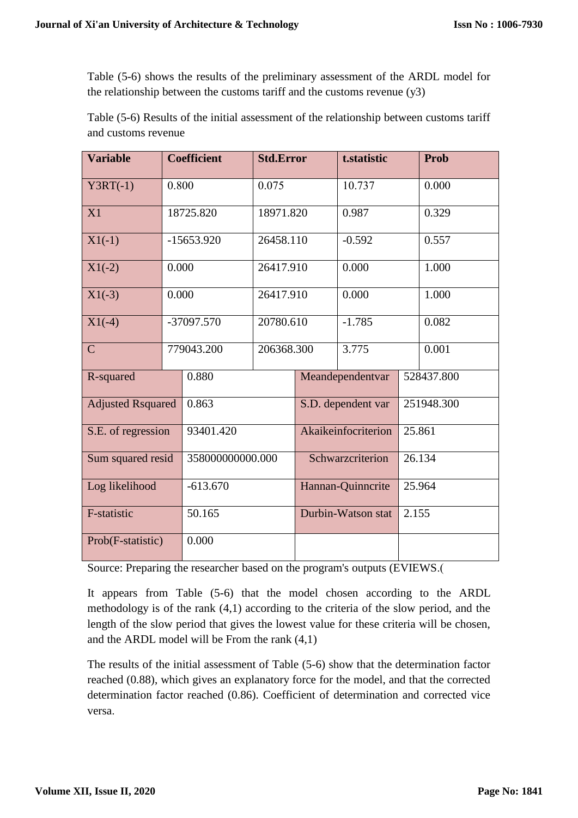Table (5-6) shows the results of the preliminary assessment of the ARDL model for the relationship between the customs tariff and the customs revenue  $(y3)$ 

Table (5-6) Results of the initial assessment of the relationship between customs tariff and customs revenue

| <b>Variable</b>          |       | <b>Coefficient</b> | <b>Std.Error</b> | t.statistic        |                     |       | <b>Prob</b> |
|--------------------------|-------|--------------------|------------------|--------------------|---------------------|-------|-------------|
| $Y3RT(-1)$               | 0.800 |                    | 0.075            |                    | 10.737              |       | 0.000       |
| X1                       |       | 18725.820          | 18971.820        |                    | 0.987               |       | 0.329       |
| $X1(-1)$                 |       | $-15653.920$       | 26458.110        |                    | $-0.592$            |       | 0.557       |
| $X1(-2)$                 | 0.000 |                    | 26417.910        |                    | 0.000               |       | 1.000       |
| $X1(-3)$                 | 0.000 | 26417.910          |                  |                    | 0.000               |       | 1.000       |
| $X1(-4)$                 |       | -37097.570         | 20780.610        |                    | $-1.785$            |       | 0.082       |
| $\mathbf C$              |       | 779043.200         | 206368.300       |                    | 3.775               |       | 0.001       |
| R-squared                |       | 0.880              |                  | Meandependentvar   |                     |       | 528437.800  |
| <b>Adjusted Rsquared</b> |       | 0.863              |                  | S.D. dependent var |                     |       | 251948.300  |
| S.E. of regression       |       | 93401.420          |                  |                    | Akaikeinfocriterion |       | 25.861      |
| Sum squared resid        |       | 358000000000.000   |                  | Schwarzcriterion   |                     |       | 26.134      |
| Log likelihood           |       | $-613.670$         |                  | Hannan-Quinncrite  |                     |       | 25.964      |
| F-statistic              |       | 50.165             |                  |                    | Durbin-Watson stat  | 2.155 |             |
| Prob(F-statistic)        |       | 0.000              |                  |                    |                     |       |             |

Source: Preparing the researcher based on the program's outputs (EVIEWS.)

It appears from Table (5-6) that the model chosen according to the ARDL methodology is of the rank (4,1) according to the criteria of the slow period, and the length of the slow period that gives the lowest value for these criteria will be chosen, and the ARDL model will be From the rank (4,1)

The results of the initial assessment of Table (5-6) show that the determination factor reached (0.88), which gives an explanatory force for the model, and that the corrected determination factor reached (0.86). Coefficient of determination and corrected vice versa.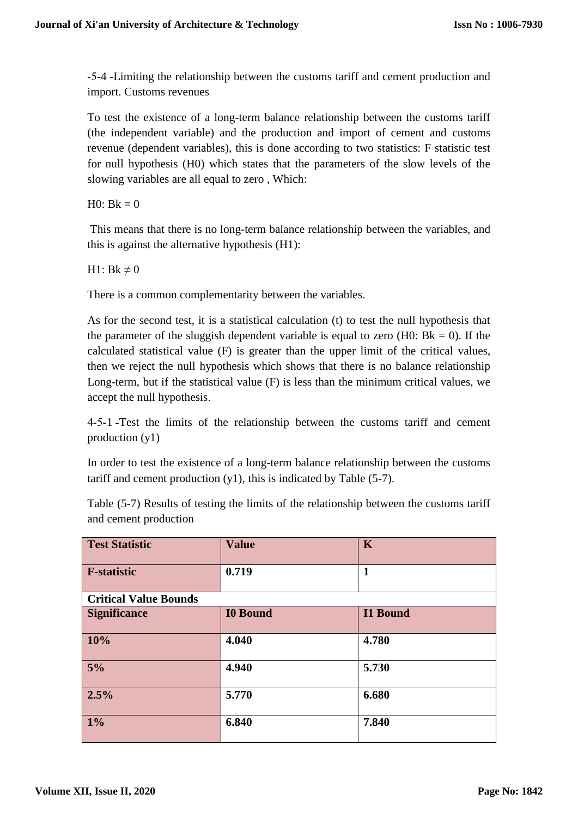-5-4 -Limiting the relationship between the customs tariff and cement production and import. Customs revenues

To test the existence of a long-term balance relationship between the customs tariff (the independent variable) and the production and import of cement and customs revenue (dependent variables), this is done according to two statistics: F statistic test for null hypothesis (H0) which states that the parameters of the slow levels of the slowing variables are all equal to zero , Which:

 $H0: Bk = 0$ 

This means that there is no long-term balance relationship between the variables, and this is against the alternative hypothesis (H1):

H1:  $Bk \neq 0$ 

There is a common complementarity between the variables.

As for the second test, it is a statistical calculation (t) to test the null hypothesis that the parameter of the sluggish dependent variable is equal to zero (H0:  $Bk = 0$ ). If the calculated statistical value (F) is greater than the upper limit of the critical values, then we reject the null hypothesis which shows that there is no balance relationship Long-term, but if the statistical value (F) is less than the minimum critical values, we accept the null hypothesis.

4-5-1 -Test the limits of the relationship between the customs tariff and cement production (y1)

In order to test the existence of a long-term balance relationship between the customs tariff and cement production (y1), this is indicated by Table (5-7).

Table (5-7) Results of testing the limits of the relationship between the customs tariff and cement production

| <b>Test Statistic</b>        | <b>Value</b>    | $\mathbf K$     |
|------------------------------|-----------------|-----------------|
| <b>F-statistic</b>           | 0.719           | 1               |
| <b>Critical Value Bounds</b> |                 |                 |
| <b>Significance</b>          | <b>I0 Bound</b> | <b>I1 Bound</b> |
| 10%                          | 4.040           | 4.780           |
| 5%                           | 4.940           | 5.730           |
| 2.5%                         | 5.770           | 6.680           |
| $1\%$                        | 6.840           | 7.840           |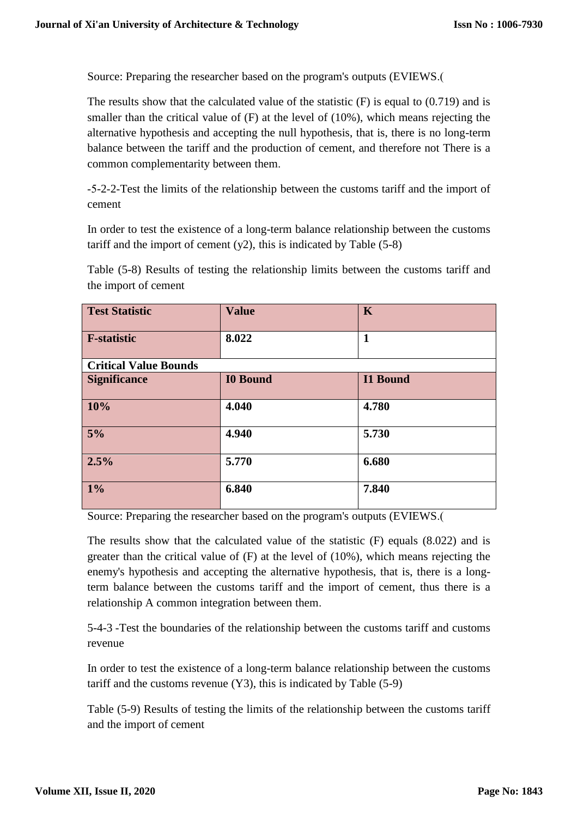Source: Preparing the researcher based on the program's outputs (EVIEWS.

The results show that the calculated value of the statistic (F) is equal to (0.719) and is smaller than the critical value of (F) at the level of (10%), which means rejecting the alternative hypothesis and accepting the null hypothesis, that is, there is no long-term balance between the tariff and the production of cement, and therefore not There is a common complementarity between them.

-5-2-2-Test the limits of the relationship between the customs tariff and the import of cement

In order to test the existence of a long-term balance relationship between the customs tariff and the import of cement  $(y2)$ , this is indicated by Table  $(5-8)$ 

Table (5-8) Results of testing the relationship limits between the customs tariff and the import of cement

| <b>Test Statistic</b>        | <b>Value</b>    | $\mathbf K$     |
|------------------------------|-----------------|-----------------|
| <b>F-statistic</b>           | 8.022           | $\mathbf{1}$    |
| <b>Critical Value Bounds</b> |                 |                 |
| <b>Significance</b>          | <b>I0 Bound</b> | <b>I1 Bound</b> |
| 10%                          | 4.040           | 4.780           |
| 5%                           | 4.940           | 5.730           |
| 2.5%                         | 5.770           | 6.680           |
| $1\%$                        | 6.840           | 7.840           |

Source: Preparing the researcher based on the program's outputs (EVIEWS.)

The results show that the calculated value of the statistic (F) equals (8.022) and is greater than the critical value of (F) at the level of (10%), which means rejecting the enemy's hypothesis and accepting the alternative hypothesis, that is, there is a longterm balance between the customs tariff and the import of cement, thus there is a relationship A common integration between them.

5-4-3 -Test the boundaries of the relationship between the customs tariff and customs revenue

In order to test the existence of a long-term balance relationship between the customs tariff and the customs revenue (Y3), this is indicated by Table (5-9)

Table (5-9) Results of testing the limits of the relationship between the customs tariff and the import of cement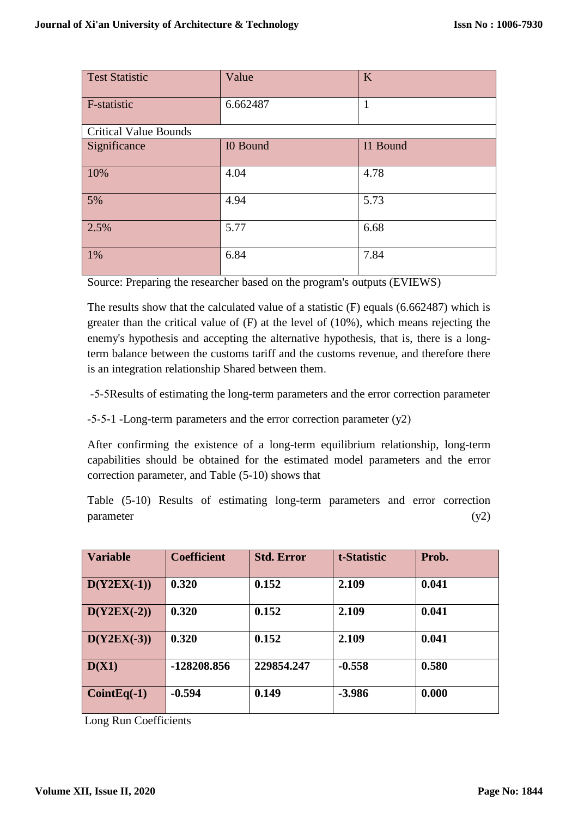| <b>Test Statistic</b>        | Value    | K            |
|------------------------------|----------|--------------|
| F-statistic                  | 6.662487 | $\mathbf{1}$ |
| <b>Critical Value Bounds</b> |          |              |
| Significance                 | I0 Bound | I1 Bound     |
| 10%                          | 4.04     | 4.78         |
| 5%                           | 4.94     | 5.73         |
| 2.5%                         | 5.77     | 6.68         |
| 1%                           | 6.84     | 7.84         |

Source: Preparing the researcher based on the program's outputs (EVIEWS)

The results show that the calculated value of a statistic (F) equals (6.662487) which is greater than the critical value of (F) at the level of (10%), which means rejecting the enemy's hypothesis and accepting the alternative hypothesis, that is, there is a longterm balance between the customs tariff and the customs revenue, and therefore there is an integration relationship Shared between them.

-5-5Results of estimating the long-term parameters and the error correction parameter

 $-5-5-1$  -Long-term parameters and the error correction parameter  $(y2)$ 

After confirming the existence of a long-term equilibrium relationship, long-term capabilities should be obtained for the estimated model parameters and the error correction parameter, and Table (5-10) shows that

Table (5-10) Results of estimating long-term parameters and error correction  $parameter$  (y2)

| <b>Variable</b> | <b>Coefficient</b> | <b>Std. Error</b> | t-Statistic | Prob. |
|-----------------|--------------------|-------------------|-------------|-------|
| $D(Y2EX(-1))$   | 0.320              | 0.152             | 2.109       | 0.041 |
| $D(Y2EX(-2))$   | 0.320              | 0.152             | 2.109       | 0.041 |
| $D(Y2EX(-3))$   | 0.320              | 0.152             | 2.109       | 0.041 |
| D(X1)           | -128208.856        | 229854.247        | $-0.558$    | 0.580 |
| $CointEq(-1)$   | $-0.594$           | 0.149             | $-3.986$    | 0.000 |

Long Run Coefficients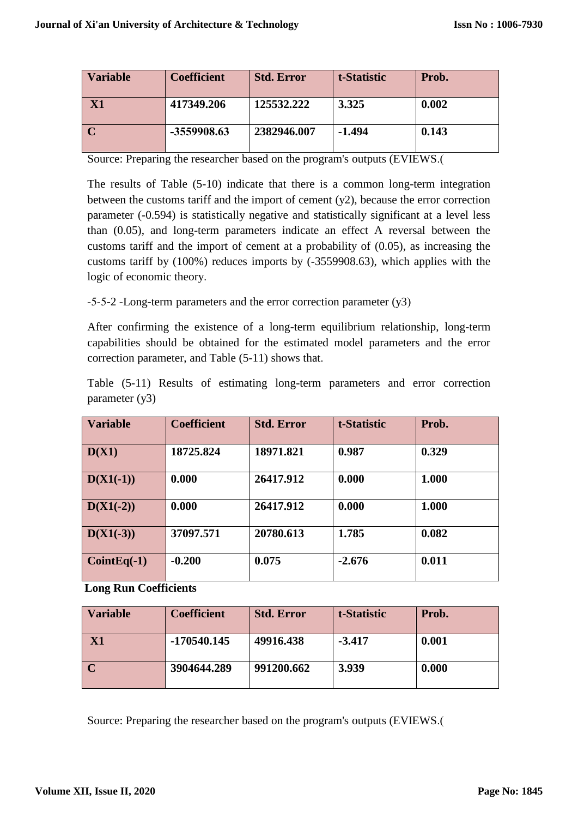| <b>Variable</b> | <b>Coefficient</b> | <b>Std. Error</b> | t-Statistic | Prob. |
|-----------------|--------------------|-------------------|-------------|-------|
| X1              | 417349.206         | 125532.222        | 3.325       | 0.002 |
|                 | -3559908.63        | 2382946.007       | -1.494      | 0.143 |

Source: Preparing the researcher based on the program's outputs (EVIEWS.)

The results of Table (5-10) indicate that there is a common long-term integration between the customs tariff and the import of cement  $(y2)$ , because the error correction parameter (-0.594) is statistically negative and statistically significant at a level less than (0.05), and long-term parameters indicate an effect A reversal between the customs tariff and the import of cement at a probability of (0.05), as increasing the customs tariff by (100%) reduces imports by (-3559908.63), which applies with the logic of economic theory.

 $-5-5-2$  -Long-term parameters and the error correction parameter  $(y3)$ 

After confirming the existence of a long-term equilibrium relationship, long-term capabilities should be obtained for the estimated model parameters and the error correction parameter, and Table (5-11) shows that.

Table (5-11) Results of estimating long-term parameters and error correction parameter (y3)

| <b>Variable</b> | <b>Coefficient</b> | <b>Std. Error</b> | t-Statistic | Prob. |
|-----------------|--------------------|-------------------|-------------|-------|
| D(X1)           | 18725.824          | 18971.821         | 0.987       | 0.329 |
| $D(X1(-1))$     | 0.000              | 26417.912         | 0.000       | 1.000 |
| $D(X1(-2))$     | 0.000              | 26417.912         | 0.000       | 1.000 |
| $D(X1(-3))$     | 37097.571          | 20780.613         | 1.785       | 0.082 |
| $CointEq(-1)$   | $-0.200$           | 0.075             | $-2.676$    | 0.011 |

**Long Run Coefficients**

| <b>Variable</b> | <b>Coefficient</b> | <b>Std. Error</b> | t-Statistic | Prob. |
|-----------------|--------------------|-------------------|-------------|-------|
| $\mathbf{X}1$   | -170540.145        | 49916.438         | $-3.417$    | 0.001 |
|                 | 3904644.289        | 991200.662        | 3.939       | 0.000 |

Source: Preparing the researcher based on the program's outputs (EVIEWS.)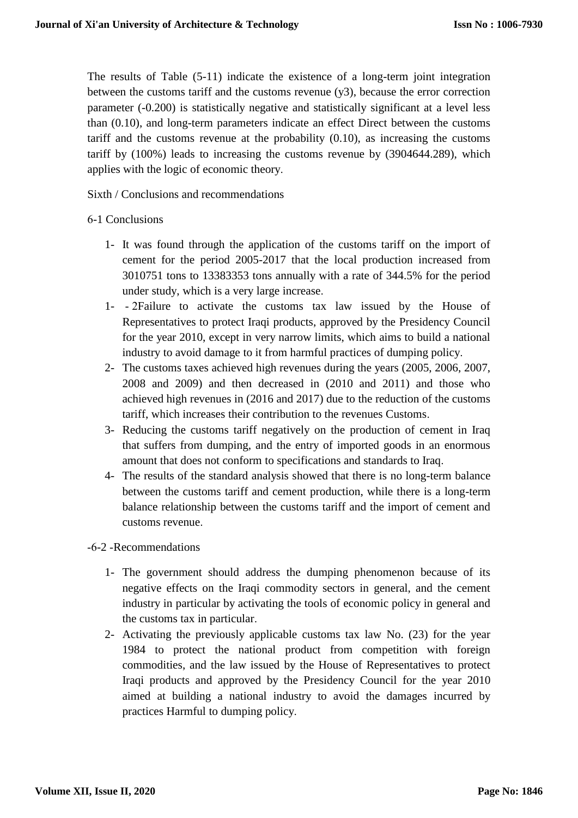The results of Table (5-11) indicate the existence of a long-term joint integration between the customs tariff and the customs revenue (y3), because the error correction parameter (-0.200) is statistically negative and statistically significant at a level less than (0.10), and long-term parameters indicate an effect Direct between the customs tariff and the customs revenue at the probability (0.10), as increasing the customs tariff by (100%) leads to increasing the customs revenue by (3904644.289), which applies with the logic of economic theory.

Sixth / Conclusions and recommendations

#### 6-1 Conclusions

- 1- It was found through the application of the customs tariff on the import of cement for the period 2005-2017 that the local production increased from 3010751 tons to 13383353 tons annually with a rate of 344.5% for the period under study, which is a very large increase.
- 1- 2Failure to activate the customs tax law issued by the House of Representatives to protect Iraqi products, approved by the Presidency Council for the year 2010, except in very narrow limits, which aims to build a national industry to avoid damage to it from harmful practices of dumping policy.
- 2- The customs taxes achieved high revenues during the years (2005, 2006, 2007, 2008 and 2009) and then decreased in (2010 and 2011) and those who achieved high revenues in (2016 and 2017) due to the reduction of the customs tariff, which increases their contribution to the revenues Customs.
- 3- Reducing the customs tariff negatively on the production of cement in Iraq that suffers from dumping, and the entry of imported goods in an enormous amount that does not conform to specifications and standards to Iraq.
- 4- The results of the standard analysis showed that there is no long-term balance between the customs tariff and cement production, while there is a long-term balance relationship between the customs tariff and the import of cement and customs revenue.

#### -6-2 -Recommendations

- 1- The government should address the dumping phenomenon because of its negative effects on the Iraqi commodity sectors in general, and the cement industry in particular by activating the tools of economic policy in general and the customs tax in particular.
- 2- Activating the previously applicable customs tax law No. (23) for the year 1984 to protect the national product from competition with foreign commodities, and the law issued by the House of Representatives to protect Iraqi products and approved by the Presidency Council for the year 2010 aimed at building a national industry to avoid the damages incurred by practices Harmful to dumping policy.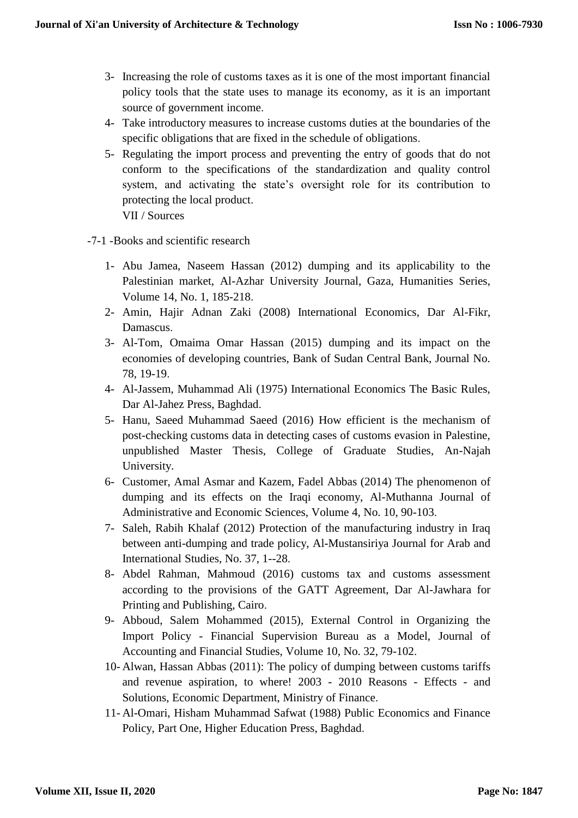- 3- Increasing the role of customs taxes as it is one of the most important financial policy tools that the state uses to manage its economy, as it is an important source of government income.
- 4- Take introductory measures to increase customs duties at the boundaries of the specific obligations that are fixed in the schedule of obligations.
- 5- Regulating the import process and preventing the entry of goods that do not conform to the specifications of the standardization and quality control system, and activating the state's oversight role for its contribution to protecting the local product. VII / Sources
- -7-1 -Books and scientific research
	- 1- Abu Jamea, Naseem Hassan (2012) dumping and its applicability to the Palestinian market, Al-Azhar University Journal, Gaza, Humanities Series, Volume 14, No. 1, 185-218.
	- 2- Amin, Hajir Adnan Zaki (2008) International Economics, Dar Al-Fikr, Damascus.
	- 3- Al-Tom, Omaima Omar Hassan (2015) dumping and its impact on the economies of developing countries, Bank of Sudan Central Bank, Journal No. 78, 19-19.
	- 4- Al-Jassem, Muhammad Ali (1975) International Economics The Basic Rules, Dar Al-Jahez Press, Baghdad.
	- 5- Hanu, Saeed Muhammad Saeed (2016) How efficient is the mechanism of post-checking customs data in detecting cases of customs evasion in Palestine, unpublished Master Thesis, College of Graduate Studies, An-Najah University.
	- 6- Customer, Amal Asmar and Kazem, Fadel Abbas (2014) The phenomenon of dumping and its effects on the Iraqi economy, Al-Muthanna Journal of Administrative and Economic Sciences, Volume 4, No. 10, 90-103.
	- 7- Saleh, Rabih Khalaf (2012) Protection of the manufacturing industry in Iraq between anti-dumping and trade policy, Al-Mustansiriya Journal for Arab and International Studies, No. 37, 1--28.
	- 8- Abdel Rahman, Mahmoud (2016) customs tax and customs assessment according to the provisions of the GATT Agreement, Dar Al-Jawhara for Printing and Publishing, Cairo.
	- 9- Abboud, Salem Mohammed (2015), External Control in Organizing the Import Policy - Financial Supervision Bureau as a Model, Journal of Accounting and Financial Studies, Volume 10, No. 32, 79-102.
	- 10- Alwan, Hassan Abbas (2011): The policy of dumping between customs tariffs and revenue aspiration, to where! 2003 - 2010 Reasons - Effects - and Solutions, Economic Department, Ministry of Finance.
	- 11- Al-Omari, Hisham Muhammad Safwat (1988) Public Economics and Finance Policy, Part One, Higher Education Press, Baghdad.